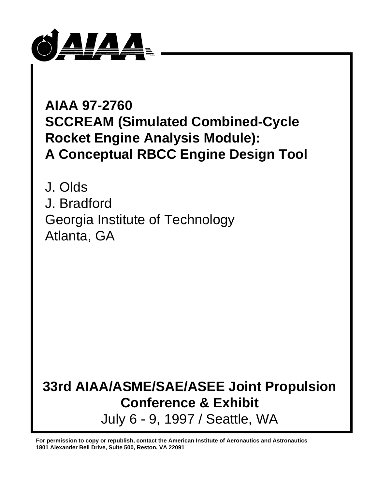

# **AIAA 97-2760 SCCREAM (Simulated Combined-Cycle Rocket Engine Analysis Module): A Conceptual RBCC Engine Design Tool**

J. Olds J. Bradford Georgia Institute of Technology Atlanta, GA

# **33rd AIAA/ASME/SAE/ASEE Joint Propulsion Conference & Exhibit** July 6 - 9, 1997 / Seattle, WA

**For permission to copy or republish, contact the American Institute of Aeronautics and Astronautics 1801 Alexander Bell Drive, Suite 500, Reston, VA 22091**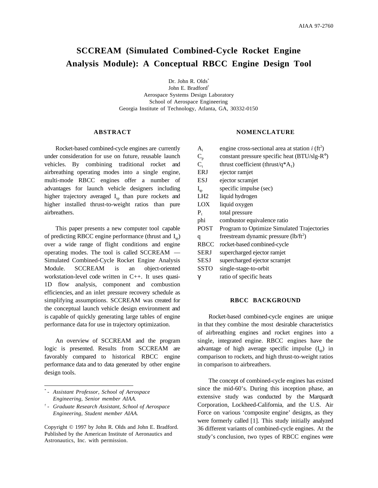# **SCCREAM (Simulated Combined-Cycle Rocket Engine Analysis Module): A Conceptual RBCC Engine Design Tool**

Dr. John R. Olds<sup>\*</sup> John E. Bradford† Aerospace Systems Design Laboratory School of Aerospace Engineering Georgia Institute of Technology, Atlanta, GA, 30332-0150

# **ABSTRACT**

Rocket-based combined-cycle engines are currently under consideration for use on future, reusable launch vehicles. By combining traditional rocket and airbreathing operating modes into a single engine, multi-mode RBCC engines offer a number of advantages for launch vehicle designers including higher trajectory averaged  $I_{\rm{sp}}$  than pure rockets and higher installed thrust-to-weight ratios than pure airbreathers.

This paper presents a new computer tool capable of predicting RBCC engine performance (thrust and  $I_{\rm SD}$ ) over a wide range of flight conditions and engine operating modes. The tool is called SCCREAM — Simulated Combined-Cycle Rocket Engine Analysis Module. SCCREAM is an object-oriented workstation-level code written in C++. It uses quasi-1D flow analysis, component and combustion efficiencies, and an inlet pressure recovery schedule as simplifying assumptions. SCCREAM was created for the conceptual launch vehicle design environment and is capable of quickly generating large tables of engine performance data for use in trajectory optimization.

An overview of SCCREAM and the program logic is presented. Results from SCCREAM are favorably compared to historical RBCC engine performance data and to data generated by other engine design tools.

 $\overline{a}$ 

Copyright © 1997 by John R. Olds and John E. Bradford. Published by the American Institute of Aeronautics and Astronautics, Inc. with permission.

#### **NOMENCLATURE**

| $A_i$           | engine cross-sectional area at station $i$ (ft <sup>2</sup> ) |
|-----------------|---------------------------------------------------------------|
| $C_{p}$         | constant pressure specific heat $(BTU/slg-R°)$                |
| $C_{\rm t}$     | thrust coefficient (thrust/q $A_1$ )                          |
| <b>ERJ</b>      | ejector ramjet                                                |
| <b>ESJ</b>      | ejector scramjet                                              |
| $I_{\rm sp}$    | specific impulse (sec)                                        |
| LH <sub>2</sub> | liquid hydrogen                                               |
| LOX             | liquid oxygen                                                 |
| $P_{t}$         | total pressure                                                |
| phi             | combustor equivalence ratio                                   |
| <b>POST</b>     | Program to Optimize Simulated Trajectories                    |
| q               | freestream dynamic pressure $(lb/ft^2)$                       |
| RBCC            | rocket-based combined-cycle                                   |
| SERJ            | supercharged ejector ramjet                                   |
| <b>SESJ</b>     | supercharged ejector scramjet                                 |
| SSTO            | single-stage-to-orbit                                         |
| γ               | ratio of specific heats                                       |
|                 |                                                               |

# **RBCC BACKGROUND**

Rocket-based combined-cycle engines are unique in that they combine the most desirable characteristics of airbreathing engines and rocket engines into a single, integrated engine. RBCC engines have the advantage of high average specific impulse  $(I_{\rm SD})$  in comparison to rockets, and high thrust-to-weight ratios in comparison to airbreathers.

The concept of combined-cycle engines has existed since the mid-60's. During this inception phase, an extensive study was conducted by the Marquardt Corporation, Lockheed-California, and the U.S. Air Force on various 'composite engine' designs, as they were formerly called [1]. This study initially analyzed 36 different variants of combined-cycle engines. At the study's conclusion, two types of RBCC engines were

*<sup>\*</sup> - Assistant Professor, School of Aerospace Engineering, Senior member AIAA.*

*<sup>†</sup> - Graduate Research Assistant, School of Aerospace Engineering, Student member AIAA.*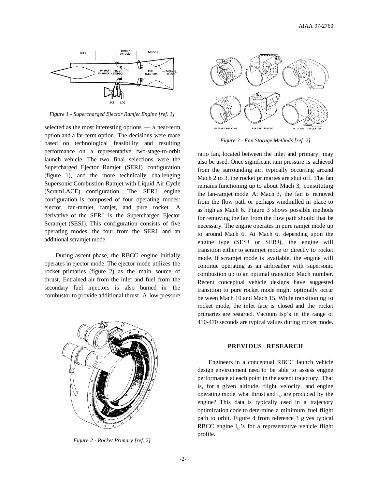

*Figure 1 - Supercharged Ejector Ramjet Engine [ref. 1]*

selected as the most interesting options — a near-term option and a far-term option. The decisions were made based on technological feasibility and resulting performance on a representative two-stage-to-orbit launch vehicle. The two final selections were the Supercharged Ejector Ramjet (SERJ) configuration (figure 1), and the more technically challenging Supersonic Combustion Ramjet with Liquid Air Cycle (ScramLACE) configuration. The SERJ engine configuration is composed of four operating modes: ejector, fan-ramjet, ramjet, and pure rocket. A derivative of the SERJ is the Supercharged Ejector Scramjet (SESJ). This configuration consists of five operating modes, the four from the SERJ and an additional scramjet mode.

During ascent phase, the RBCC engine initially operates in ejector mode. The ejector mode utilizes the rocket primaries (figure 2) as the main source of thrust. Entrained air from the inlet and fuel from the secondary fuel injectors is also burned in the combustor to provide additional thrust. A low-pressure



*Figure 3 - Fan Storage Methods [ref. 2]*

ratio fan, located between the inlet and primary, may also be used. Once significant ram pressure is achieved from the surrounding air, typically occurring around Mach 2 to 3, the rocket primaries are shut off. The fan remains functioning up to about Mach 3, constituting the fan-ramjet mode. At Mach 3, the fan is removed from the flow path or perhaps windmilled in place to as high as Mach 6. Figure 3 shows possible methods for removing the fan from the flow path should that be necessary. The engine operates in pure ramjet mode up to around Mach 6. At Mach 6, depending upon the engine type (SESJ or SERJ), the engine will transition either to scramjet mode or directly to rocket mode. If scramjet mode is available, the engine will continue operating as an airbreather with supersonic combustion up to an optimal transition Mach number. Recent conceptual vehicle designs have suggested transition to pure rocket mode might optimally occur between Mach 10 and Mach 15. While transitioning to rocket mode, the inlet face is closed and the rocket primaries are restarted. Vacuum Isp's in the range of 410-470 seconds are typical values during rocket mode.



*Figure 2 - Rocket Primary [ref. 2]*

# **PREVIOUS RESEARCH**

Engineers in a conceptual RBCC launch vehicle design environment need to be able to assess engine performance at each point in the ascent trajectory. That is, for a given altitude, flight velocity, and engine operating mode, what thrust and  $I_{\text{sp}}$  are produced by the engine? This data is typically used in a trajectory optimization code to determine a minimum fuel flight path to orbit. Figure 4 from reference 3 gives typical RBCC engine  $I_{sp}$ 's for a representative vehicle flight profile.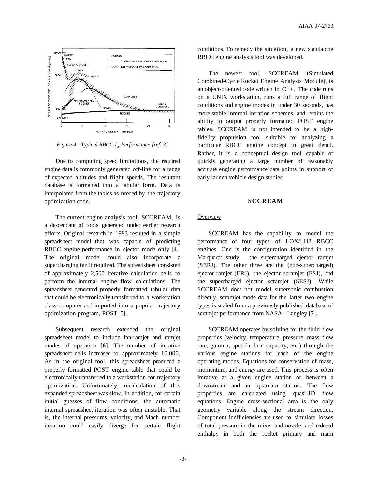

*Figure 4 - Typical RBCC I<sub>sp</sub> Performance [ref. 3]* 

Due to computing speed limitations, the required engine data is commonly generated off-line for a range of expected altitudes and flight speeds. The resultant database is formatted into a tabular form. Data is interpolated from the tables as needed by the trajectory optimization code.

The current engine analysis tool, SCCREAM, is a descendant of tools generated under earlier research efforts. Original research in 1993 resulted in a simple spreadsheet model that was capable of predicting RBCC engine performance in ejector mode only [4]. The original model could also incorporate a supercharging fan if required. The spreadsheet consisted of approximately 2,500 iterative calculation cells to perform the internal engine flow calculations. The spreadsheet generated properly formatted tabular data that could be electronically transferred to a workstation class computer and imported into a popular trajectory optimization program, POST[5].

Subsequent research extended the original spreadsheet model to include fan-ramjet and ramjet modes of operation [6]. The number of iterative spreadsheet cells increased to approximately 10,000. As in the original tool, this spreadsheet produced a properly formatted POST engine table that could be electronically transferred to a workstation for trajectory optimization. Unfortunately, recalculation of this expanded spreadsheet was slow. In addition, for certain initial guesses of flow conditions, the automatic internal spreadsheet iteration was often unstable. That is, the internal pressures, velocity, and Mach number iteration could easily diverge for certain flight

conditions. To remedy the situation, a new standalone RBCC engine analysis tool was developed.

The newest tool, SCCREAM (Simulated Combined-Cycle Rocket Engine Analysis Module), is an object-oriented code written in C++. The code runs on a UNIX workstation, runs a full range of flight conditions and engine modes in under 30 seconds, has more stable internal iteration schemes, and retains the ability to output properly formatted POST engine tables. SCCREAM is not intended to be a highfidelity propulsion tool suitable for analyzing a particular RBCC engine concept in great detail. Rather, it is a conceptual design tool capable of quickly generating a large number of reasonably accurate engine performance data points in support of early launch vehicle design studies.

#### **SCCREAM**

# **Overview**

SCCREAM has the capability to model the performance of four types of LOX/LH2 RBCC engines. One is the configuration identified in the Marquardt study —the supercharged ejector ramjet (SERJ). The other three are the (non-supercharged) ejector ramjet (ERJ), the ejector scramjet (ESJ), and the supercharged ejector scramjet (SESJ). While SCCREAM does not model supersonic combustion directly, scramjet mode data for the latter two engine types is scaled from a previously published database of scramjet performance from NASA - Langley [7].

SCCREAM operates by solving for the fluid flow properties (velocity, temperature, pressure, mass flow rate, gamma, specific heat capacity, etc.) through the various engine stations for each of the engine operating modes. Equations for conservation of mass, momentum, and energy are used. This process is often iterative at a given engine station or between a downstream and an upstream station. The flow properties are calculated using quasi-1D flow equations. Engine cross-sectional area is the only geometry variable along the stream direction. Component inefficiencies are used to simulate losses of total pressure in the mixer and nozzle, and reduced enthalpy in both the rocket primary and main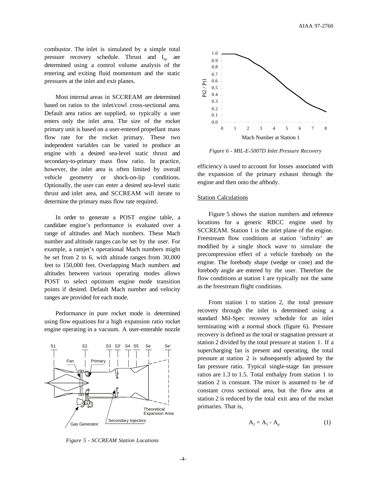combustor. The inlet is simulated by a simple total pressure recovery schedule. Thrust and  $I_{\rm SD}$  are determined using a control volume analysis of the entering and exiting fluid momentum and the static pressures at the inlet and exit planes.

Most internal areas in SCCREAM are determined based on ratios to the inlet/cowl cross-sectional area. Default area ratios are supplied, so typically a user enters only the inlet area. The size of the rocket primary unit is based on a user-entered propellant mass flow rate for the rocket primary. These two independent variables can be varied to produce an engine with a desired sea-level static thrust and secondary-to-primary mass flow ratio. In practice, however, the inlet area is often limited by overall vehicle geometry or shock-on-lip conditions. Optionally, the user can enter a desired sea-level static thrust and inlet area, and SCCREAM will iterate to determine the primary mass flow rate required.

In order to generate a POST engine table, a candidate engine's performance is evaluated over a range of altitudes and Mach numbers. These Mach number and altitude ranges can be set by the user. For example, a ramjet's operational Mach numbers might be set from 2 to 6, with altitude ranges from 30,000 feet to 150,000 feet. Overlapping Mach numbers and altitudes between various operating modes allows POST to select optimum engine mode transition points if desired. Default Mach number and velocity ranges are provided for each mode.

Performance in pure rocket mode is determined using flow equations for a high expansion ratio rocket engine operating in a vacuum. A user-enterable nozzle





*Figure 6 - MIL-E-5007D Inlet Pressure Recovery*

efficiency is used to account for losses associated with the expansion of the primary exhaust through the engine and then onto the aftbody.

# Station Calculations

Figure 5 shows the station numbers and reference locations for a generic RBCC engine used by SCCREAM. Station 1 is the inlet plane of the engine. Freestream flow conditions at station 'infinity' are modified by a single shock wave to simulate the precompression effect of a vehicle forebody on the engine. The forebody shape (wedge or cone) and the forebody angle are entered by the user. Therefore the flow conditions at station 1 are typically not the same as the freestream flight conditions.

From station 1 to station 2, the total pressure recovery through the inlet is determined using a standard Mil-Spec recovery schedule for an inlet terminating with a normal shock (figure 6). Pressure recovery is defined as the total or stagnation pressure at station 2 divided by the total pressure at station 1. If a supercharging fan is present and operating, the total pressure at station 2 is subsequently adjusted by the fan pressure ratio. Typical single-stage fan pressure ratios are 1.3 to 1.5. Total enthalpy from station 1 to station 2 is constant. The mixer is assumed to be of constant cross sectional area, but the flow area at station 2 is reduced by the total exit area of the rocket primaries. That is,

$$
A_2 = A_3 - A_p \tag{1}
$$

*Figure 5 - SCCREAM Station Locations*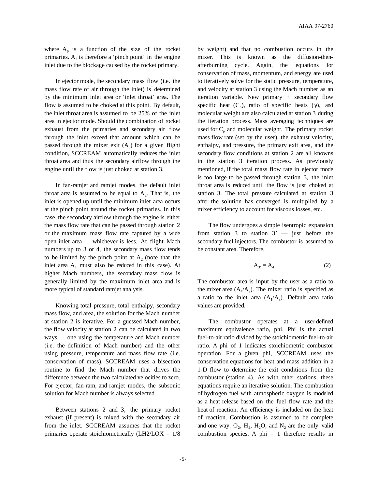where  $A_p$  is a function of the size of the rocket primaries.  $A_2$  is therefore a 'pinch point' in the engine inlet due to the blockage caused by the rocket primary.

In ejector mode, the secondary mass flow (i.e. the mass flow rate of air through the inlet) is determined by the minimum inlet area or 'inlet throat' area. The flow is assumed to be choked at this point. By default, the inlet throat area is assumed to be 25% of the inlet area in ejector mode. Should the combination of rocket exhaust from the primaries and secondary air flow through the inlet exceed that amount which can be passed through the mixer exit  $(A_3)$  for a given flight condition, SCCREAM automatically reduces the inlet throat area and thus the secondary airflow through the engine until the flow is just choked at station 3.

In fan-ramjet and ramjet modes, the default inlet throat area is assumed to be equal to  $A_2$ . That is, the inlet is opened up until the minimum inlet area occurs at the pinch point around the rocket primaries. In this case, the secondary airflow through the engine is either the mass flow rate that can be passed through station 2 or the maximum mass flow rate captured by a wide open inlet area — whichever is less. At flight Mach numbers up to 3 or 4, the secondary mass flow tends to be limited by the pinch point at  $A_2$  (note that the inlet area  $A_1$  must also be reduced in this case). At higher Mach numbers, the secondary mass flow is generally limited by the maximum inlet area and is more typical of standard ramjet analysis.

Knowing total pressure, total enthalpy, secondary mass flow, and area, the solution for the Mach number at station 2 is iterative. For a guessed Mach number, the flow velocity at station 2 can be calculated in two ways — one using the temperature and Mach number (i.e. the definition of Mach number) and the other using pressure, temperature and mass flow rate (i.e. conservation of mass). SCCREAM uses a bisection routine to find the Mach number that drives the difference between the two calculated velocities to zero. For ejector, fan-ram, and ramjet modes, the subsonic solution for Mach number is always selected.

Between stations 2 and 3, the primary rocket exhaust (if present) is mixed with the secondary air from the inlet. SCCREAM assumes that the rocket primaries operate stoichiometrically (LH2/LOX = 1/8 by weight) and that no combustion occurs in the mixer. This is known as the diffusion-thenafterburning cycle. Again, the equations for conservation of mass, momentum, and energy are used to iteratively solve for the static pressure, temperature, and velocity at station 3 using the Mach number as an iteration variable. New primary + secondary flow specific heat  $(C_p)$ , ratio of specific heats (γ), and molecular weight are also calculated at station 3 during the iteration process. Mass averaging techniques are used for  $C_p$  and molecular weight. The primary rocket mass flow rate (set by the user), the exhaust velocity, enthalpy, and pressure, the primary exit area, and the secondary flow conditions at station 2 are all knowns in the station 3 iteration process. As previously mentioned, if the total mass flow rate in ejector mode is too large to be passed through station 3, the inlet throat area is reduced until the flow is just choked at station 3. The total pressure calculated at station 3 after the solution has converged is multiplied by a mixer efficiency to account for viscous losses, etc.

The flow undergoes a simple isentropic expansion from station 3 to station  $3'$  — just before the secondary fuel injectors. The combustor is assumed to be constant area. Therefore,

$$
A_{3'} = A_4 \tag{2}
$$

The combustor area is input by the user as a ratio to the mixer area  $(A_4/A_3)$ . The mixer ratio is specified as a ratio to the inlet area  $(A_1/A_3)$ . Default area ratio values are provided.

The combustor operates at a user-defined maximum equivalence ratio, phi. Phi is the actual fuel-to-air ratio divided by the stoichiometric fuel-to-air ratio. A phi of 1 indicates stoichiometric combustor operation. For a given phi, SCCREAM uses the conservation equations for heat and mass addition in a 1-D flow to determine the exit conditions from the combustor (station 4). As with other stations, these equations require an iterative solution. The combustion of hydrogen fuel with atmospheric oxygen is modeled as a heat release based on the fuel flow rate and the heat of reaction. An efficiency is included on the heat of reaction. Combustion is assumed to be complete and one way.  $O_2$ ,  $H_2$ ,  $H_2O$ , and  $N_2$  are the only valid combustion species. A phi  $= 1$  therefore results in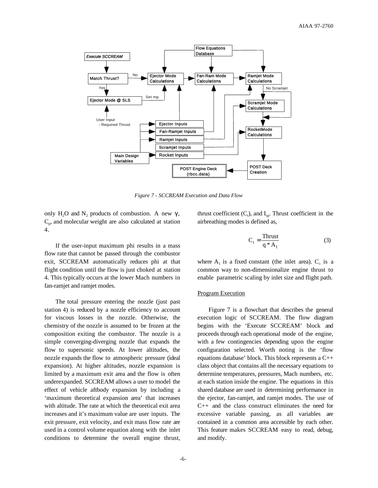

*Figure 7 - SCCREAM Execution and Data Flow*

only H<sub>2</sub>O and N<sub>2</sub> products of combustion. A new γ,  $C_p$ , and molecular weight are also calculated at station 4.

If the user-input maximum phi results in a mass flow rate that cannot be passed through the combustor exit, SCCREAM automatically reduces phi at that flight condition until the flow is just choked at station 4. This typically occurs at the lower Mach numbers in fan-ramjet and ramjet modes.

The total pressure entering the nozzle (just past station 4) is reduced by a nozzle efficiency to account for viscous losses in the nozzle. Otherwise, the chemistry of the nozzle is assumed to be frozen at the composition exiting the combustor. The nozzle is a simple converging-diverging nozzle that expands the flow to supersonic speeds. At lower altitudes, the nozzle expands the flow to atmospheric pressure (ideal expansion). At higher altitudes, nozzle expansion is limited by a maximum exit area and the flow is often underexpanded. SCCREAM allows a user to model the effect of vehicle aftbody expansion by including a 'maximum theoretical expansion area' that increases with altitude. The rate at which the theoretical exit area increases and it's maximum value are user inputs. The exit pressure, exit velocity, and exit mass flow rate are used in a control volume equation along with the inlet conditions to determine the overall engine thrust,

thrust coefficient  $(C_t)$ , and  $I_{sp}$ . Thrust coefficient in the airbreathing modes is defined as,

$$
C_t = \frac{\text{Thrust}}{q * A_1} \tag{3}
$$

where  $A_1$  is a fixed constant (the inlet area).  $C_t$  is a common way to non-dimensionalize engine thrust to enable parametric scaling by inlet size and flight path.

#### **Program Execution**

Figure 7 is a flowchart that describes the general execution logic of SCCREAM. The flow diagram begins with the 'Execute SCCREAM' block and proceeds through each operational mode of the engine, with a few contingencies depending upon the engine configuration selected. Worth noting is the 'flow equations database' block. This block represents a C++ class object that contains all the necessary equations to determine temperatures, pressures, Mach numbers, etc. at each station inside the engine. The equations in this shared database are used in determining performance in the ejector, fan-ramjet, and ramjet modes. The use of C++ and the class construct eliminates the need for excessive variable passing, as all variables are contained in a common area accessible by each other. This feature makes SCCREAM easy to read, debug, and modify.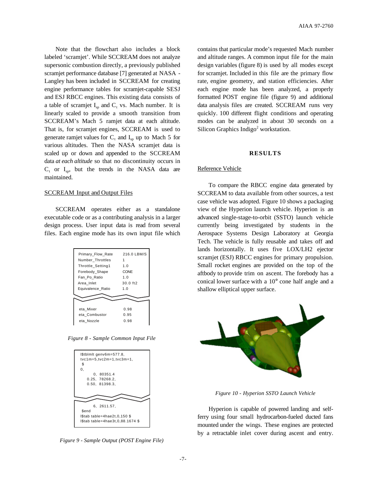Note that the flowchart also includes a block labeled 'scramjet'. While SCCREAM does not analyze supersonic combustion directly, a previously published scramjet performance database [7] generated at NASA - Langley has been included in SCCREAM for creating engine performance tables for scramjet-capable SESJ and ESJ RBCC engines. This existing data consists of a table of scramjet  $I_{sp}$  and  $C_t$  vs. Mach number. It is linearly scaled to provide a smooth transition from SCCREAM's Mach 5 ramjet data at each altitude. That is, for scramjet engines, SCCREAM is used to generate ramjet values for  $C_t$  and  $I_{sp}$  up to Mach 5 for various altitudes. Then the NASA scramjet data is scaled up or down and appended to the SCCREAM data *at each altitude* so that no discontinuity occurs in  $C_t$  or  $I_{sp}$ , but the trends in the NASA data are maintained.

#### SCCREAM Input and Output Files

SCCREAM operates either as a standalone executable code or as a contributing analysis in a larger design process. User input data is read from several files. Each engine mode has its own input file which

| Primary_Flow_Rate | 216.0 LBM/S |
|-------------------|-------------|
| Number Throttles  |             |
| Throttle_Setting1 | 1.0         |
| Forebody_Shape    | CONE        |
| Fan Po Ratio      | 1.0         |
| Area Inlet        | $30.0$ ft2  |
| Equivalence Ratio | 1.0         |
|                   |             |
|                   |             |
| eta Mixer         | 0.98        |
| eta Combustor     | 0.95        |
| eta Nozzle        | 0.98        |
|                   |             |

*Figure 8 - Sample Common Input File*

| I\$tblmlt genv6m=577.8,          |  |  |  |
|----------------------------------|--|--|--|
| $tvc1m=5, tvc2m=1, tvc3m=1,$     |  |  |  |
| S                                |  |  |  |
| 0,                               |  |  |  |
|                                  |  |  |  |
| 0.80351.4                        |  |  |  |
| 0.25, 78268.2,                   |  |  |  |
| 0.50, 81398.3,                   |  |  |  |
|                                  |  |  |  |
|                                  |  |  |  |
|                                  |  |  |  |
|                                  |  |  |  |
| 6. 2611.57.                      |  |  |  |
| <b>Send</b>                      |  |  |  |
| l\$tab table=4hae2t,0,150 \$     |  |  |  |
| l\$tab table=4hae3t,0,88.1674 \$ |  |  |  |
|                                  |  |  |  |
|                                  |  |  |  |

*Figure 9 - Sample Output (POST Engine File)*

contains that particular mode's requested Mach number and altitude ranges. A common input file for the main design variables (figure 8) is used by all modes except for scramjet. Included in this file are the primary flow rate, engine geometry, and station efficiencies. After each engine mode has been analyzed, a properly formatted POST engine file (figure 9) and additional data analysis files are created. SCCREAM runs very quickly. 100 different flight conditions and operating modes can be analyzed in about 30 seconds on a Silicon Graphics Indigo<sup>2</sup> workstation.

#### **RESULTS**

#### Reference Vehicle

To compare the RBCC engine data generated by SCCREAM to data available from other sources, a test case vehicle was adopted. Figure 10 shows a packaging view of the Hyperion launch vehicle. Hyperion is an advanced single-stage-to-orbit (SSTO) launch vehicle currently being investigated by students in the Aerospace Systems Design Laboratory at Georgia Tech. The vehicle is fully reusable and takes off and lands horizontally. It uses five LOX/LH2 ejector scramjet (ESJ) RBCC engines for primary propulsion. Small rocket engines are provided on the top of the aftbody to provide trim on ascent. The forebody has a conical lower surface with a 10° cone half angle and a shallow elliptical upper surface.



*Figure 10 - Hyperion SSTO Launch Vehicle*

Hyperion is capable of powered landing and selfferry using four small hydrocarbon-fueled ducted fans mounted under the wings. These engines are protected by a retractable inlet cover during ascent and entry.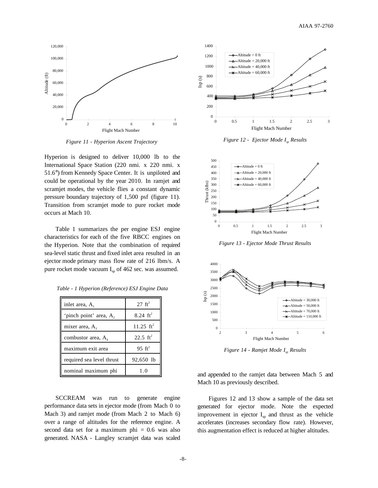

*Figure 11 - Hyperion Ascent Trajectory*

Hyperion is designed to deliver 10,000 lb to the International Space Station (220 nmi. x 220 nmi. x 51.6°) from Kennedy Space Center. It is unpiloted and could be operational by the year 2010. In ramjet and scramjet modes, the vehicle flies a constant dynamic pressure boundary trajectory of 1,500 psf (figure 11). Transition from scramjet mode to pure rocket mode occurs at Mach 10.

Table 1 summarizes the per engine ESJ engine characteristics for each of the five RBCC engines on the Hyperion. Note that the combination of required sea-level static thrust and fixed inlet area resulted in an ejector mode primary mass flow rate of 216 lbm/s. A pure rocket mode vacuum  $I_{\rm sn}$  of 462 sec. was assumed.

| inlet area, A.            | $27 \text{ ft}^2$   |  |  |
|---------------------------|---------------------|--|--|
| 'pinch point' area, A,    | 8.24 $ft^2$         |  |  |
| mixer area, $A_3$         | 11.25 $ft^2$        |  |  |
| combustor area, $A_4$     | $22.5 \text{ ft}^2$ |  |  |
| maximum exit area         | $95 \text{ ft}^2$   |  |  |
| required sea level thrust | 92,650 lb           |  |  |
| nominal maximum phi       | 1.0                 |  |  |

*Table - 1 Hyperion (Reference) ESJ Engine Data*

SCCREAM was run to generate engine performance data sets in ejector mode (from Mach 0 to Mach 3) and ramjet mode (from Mach 2 to Mach 6) over a range of altitudes for the reference engine. A second data set for a maximum phi  $= 0.6$  was also generated. NASA - Langley scramjet data was scaled



*Figure 12 - Ejector Mode I<sub>sp</sub> Results* 



*Figure 13 - Ejector Mode Thrust Results*



*Figure 14 - Ramjet Mode I<sub>sp</sub> Results* 

and appended to the ramjet data between Mach 5 and Mach 10 as previously described.

Figures 12 and 13 show a sample of the data set generated for ejector mode. Note the expected improvement in ejector  $I_{\text{sp}}$  and thrust as the vehicle accelerates (increases secondary flow rate). However, this augmentation effect is reduced at higher altitudes.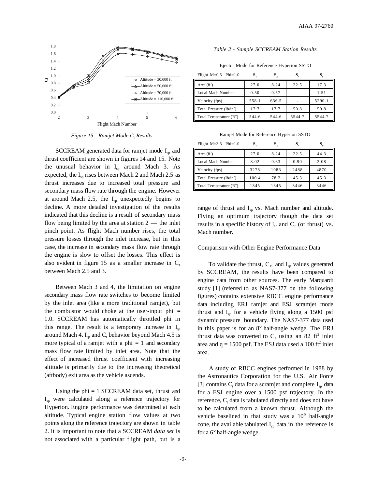

*Figure 15 - Ramjet Mode C<sub>t</sub> Results* 

SCCREAM generated data for ramjet mode  $I_{sp}$  and thrust coefficient are shown in figures 14 and 15. Note the unusual behavior in  $I_{\text{sp}}$  around Mach 3. As expected, the  $I_{\rm sn}$  rises between Mach 2 and Mach 2.5 as thrust increases due to increased total pressure and secondary mass flow rate through the engine. However at around Mach 2.5, the  $I_{sp}$  unexpectedly begins to decline. A more detailed investigation of the results indicated that this decline is a result of secondary mass flow being limited by the area at station  $2$  — the inlet pinch point. As flight Mach number rises, the total pressure losses through the inlet increase, but in this case, the increase in secondary mass flow rate through the engine is slow to offset the losses. This effect is also evident in figure 15 as a smaller increase in  $C<sub>t</sub>$ between Mach 2.5 and 3.

Between Mach 3 and 4, the limitation on engine secondary mass flow rate switches to become limited by the inlet area (like a more traditional ramjet), but the combustor would choke at the user-input phi  $=$ 1.0. SCCREAM has automatically throttled phi in this range. The result is a temporary increase in  $I_{sp}$ around Mach 4.  $I_{sp}$  and  $C_t$  behavior beyond Mach 4.5 is more typical of a ramjet with a phi  $= 1$  and secondary mass flow rate limited by inlet area. Note that the effect of increased thrust coefficient with increasing altitude is primarily due to the increasing theoretical (aftbody) exit area as the vehicle ascends.

Using the  $phi = 1$  SCCREAM data set, thrust and Isp were calculated along a reference trajectory for Hyperion. Engine performance was determined at each altitude. Typical engine station flow values at two points along the reference trajectory are shown in table 2. It is important to note that a SCCREAM *data set* is not associated with a particular flight path, but is a

#### *Table 2 - Sample SCCREAM Station Results*

Ejector Mode for Reference Hyperion SSTO

| Flight $M=0.5$ Phi=1.0          |       |       |        |        |
|---------------------------------|-------|-------|--------|--------|
| Area $(ft^2)$                   | 27.0  | 8.24  | 22.5   | 17.3   |
| Local Mach Number               | 0.50  | 0.57  |        | 1.51   |
| Velocity (fps)                  | 558.1 | 636.5 |        | 5290.1 |
| Total Pressure $(lb/in^2)$      | 17.7  | 17.7  | 50.8   | 50.8   |
| Total Temperature $(R^{\circ})$ | 544.6 | 544.6 | 5544.7 | 5544.7 |

Ramjet Mode for Reference Hyperion SSTO

| Flight $M=3.5$ Phi=1.0          | ు     |      |      | $\mathbf{S}_{s}$ |
|---------------------------------|-------|------|------|------------------|
| Area $(ft^2)$                   | 27.0  | 8.24 | 22.5 | 44.3             |
| <b>Local Mach Number</b>        | 3.02  | 0.63 | 0.90 | 2.08             |
| Velocity (fps)                  | 3278  | 1083 | 2488 | 4870             |
| Total Pressure $(lb/in^2)$      | 100.4 | 78.2 | 45.3 | 45.3             |
| Total Temperature $(R^{\circ})$ | 1345  | 1345 | 3446 | 3446             |

range of thrust and  $I_{sp}$  vs. Mach number and altitude. Flying an optimum trajectory though the data set results in a specific history of  $I_{sp}$  and  $C_t$  (or thrust) vs. Mach number.

#### Comparison with Other Engine Performance Data

To validate the thrust,  $C_t$ , and  $I_{sp}$  values generated by SCCREAM, the results have been compared to engine data from other sources. The early Marquardt study [1] (referred to as NAS7-377 on the following figures) contains extensive RBCC engine performance data including ERJ ramjet and ESJ scramjet mode thrust and  $I_{sp}$  for a vehicle flying along a 1500 psf dynamic pressure boundary. The NAS7-377 data used in this paper is for an 8° half-angle wedge. The ERJ thrust data was converted to  $C_t$  using an 82 ft<sup>2</sup> inlet area and  $q = 1500$  psf. The ESJ data used a 100 ft<sup>2</sup> inlet area.

A study of RBCC engines performed in 1988 by the Astronautics Corporation for the U.S. Air Force [3] contains  $C_t$  data for a scramjet and complete  $I_{sp}$  data for a ESJ engine over a 1500 psf trajectory. In the reference,  $C_t$  data is tabulated directly and does not have to be calculated from a known thrust. Although the vehicle baselined in that study was a 10° half-angle cone, the available tabulated  $I_{\rm{sn}}$  data in the reference is for a 6° half-angle wedge.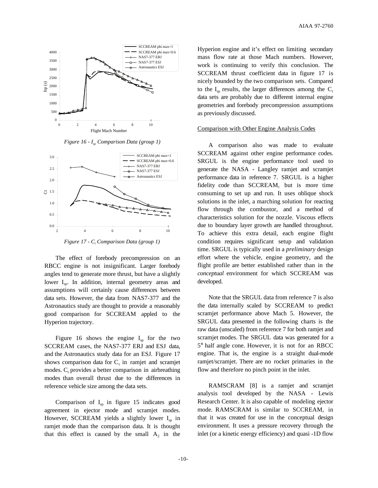

*Figure 16 - Isp Comparison Data (group 1)*



*Figure 17 - C<sub>t</sub>* Comparison Data (group 1)

The effect of forebody precompression on an RBCC engine is not insignificant. Larger forebody angles tend to generate more thrust, but have a slightly lower  $I_{\rm so}$ . In addition, internal geometry areas and assumptions will certainly cause differences between data sets. However, the data from NAS7-377 and the Astronautics study are thought to provide a reasonably good comparison for SCCREAM appled to the Hyperion trajectory.

Figure 16 shows the engine  $I_{sp}$  for the two SCCREAM cases, the NAS7-377 ERJ and ESJ data, and the Astronautics study data for an ESJ. Figure 17 shows comparison data for  $C_t$  in ramjet and scramjet modes.  $C_t$  provides a better comparison in airbreathing modes than overall thrust due to the differences in reference vehicle size among the data sets.

Comparison of  $I_{sp}$  in figure 15 indicates good agreement in ejector mode and scramjet modes. However, SCCREAM yields a slightly lower  $I_{\rm{sp}}$  in ramjet mode than the comparison data. It is thought that this effect is caused by the small  $A_2$  in the

Hyperion engine and it's effect on limiting secondary mass flow rate at those Mach numbers. However, work is continuing to verify this conclusion. The SCCREAM thrust coefficient data in figure 17 is nicely bounded by the two comparison sets. Compared to the  $I_{sn}$  results, the larger differences among the  $C_t$ data sets are probably due to different internal engine geometries and forebody precompression assumptions as previously discussed.

#### Comparison with Other Engine Analysis Codes

A comparison also was made to evaluate SCCREAM against other engine performance codes. SRGUL is the engine performance tool used to generate the NASA - Langley ramjet and scramjet performance data in reference 7. SRGUL is a higher fidelity code than SCCREAM, but is more time consuming to set up and run. It uses oblique shock solutions in the inlet, a marching solution for reacting flow through the combustor, and a method of characteristics solution for the nozzle. Viscous effects due to boundary layer growth are handled throughout. To achieve this extra detail, each engine flight condition requires significant setup and validation time. SRGUL is typically used in a *preliminary* design effort where the vehicle, engine geometry, and the flight profile are better established rather than in the *conceptual* environment for which SCCREAM was developed.

Note that the SRGUL data from reference 7 is also the data internally scaled by SCCREAM to predict scramjet performance above Mach 5. However, the SRGUL data presented in the following charts is the raw data (unscaled) from reference 7 for both ramjet and scramjet modes. The SRGUL data was generated for a 5° half angle cone. However, it is not for an RBCC engine. That is, the engine is a straight dual-mode ramjet/scramjet. There are no rocket primaries in the flow and therefore no pinch point in the inlet.

RAMSCRAM [8] is a ramjet and scramjet analysis tool developed by the NASA - Lewis Research Center. It is also capable of modeling ejector mode. RAMSCRAM is similar to SCCREAM, in that it was created for use in the conceptual design environment. It uses a pressure recovery through the inlet (or a kinetic energy efficiency) and quasi -1D flow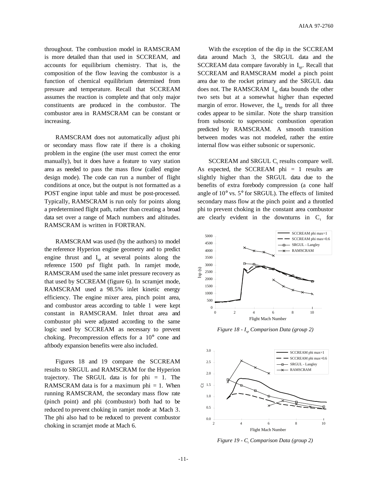throughout. The combustion model in RAMSCRAM is more detailed than that used in SCCREAM, and accounts for equilibrium chemistry. That is, the composition of the flow leaving the combustor is a function of chemical equilibrium determined from pressure and temperature. Recall that SCCREAM assumes the reaction is complete and that only major constituents are produced in the combustor. The combustor area in RAMSCRAM can be constant or increasing.

RAMSCRAM does not automatically adjust phi or secondary mass flow rate if there is a choking problem in the engine (the user must correct the error manually), but it does have a feature to vary station area as needed to pass the mass flow (called engine design mode). The code can run a number of flight conditions at once, but the output is not formatted as a POST engine input table and must be post-processed. Typically, RAMSCRAM is run only for points along a predetermined flight path, rather than creating a broad data set over a range of Mach numbers and altitudes. RAMSCRAM is written in FORTRAN.

RAMSCRAM was used (by the authors) to model the reference Hyperion engine geometry and to predict engine thrust and  $I_{\rm{sp}}$  at several points along the reference 1500 psf flight path. In ramjet mode, RAMSCRAM used the same inlet pressure recovery as that used by SCCREAM (figure 6). In scramjet mode, RAMSCRAM used a 98.5% inlet kinetic energy efficiency. The engine mixer area, pinch point area, and combustor areas according to table 1 were kept constant in RAMSCRAM. Inlet throat area and combustor phi were adjusted according to the same logic used by SCCREAM as necessary to prevent choking. Precompression effects for a 10° cone and aftbody expansion benefits were also included.

Figures 18 and 19 compare the SCCREAM results to SRGUL and RAMSCRAM for the Hyperion trajectory. The SRGUL data is for  $phi = 1$ . The RAMSCRAM data is for a maximum phi  $= 1$ . When running RAMSCRAM, the secondary mass flow rate (pinch point) and phi (combustor) both had to be reduced to prevent choking in ramjet mode at Mach 3. The phi also had to be reduced to prevent combustor choking in scramjet mode at Mach 6.

With the exception of the dip in the SCCREAM data around Mach 3, the SRGUL data and the SCCREAM data compare favorably in  $I<sub>sn</sub>$ . Recall that SCCREAM and RAMSCRAM model a pinch point area due to the rocket primary and the SRGUL data does not. The RAMSCRAM  $I_{sn}$  data bounds the other two sets but at a somewhat higher than expected margin of error. However, the  $I_{sn}$  trends for all three codes appear to be similar. Note the sharp transition from subsonic to supersonic combustion operation predicted by RAMSCRAM. A smooth transition between modes was not modeled, rather the entire internal flow was either subsonic or supersonic.

 $SCCREAM$  and  $SRGUL$   $C<sub>t</sub>$  results compare well. As expected, the SCCREAM  $phi = 1$  results are slightly higher than the SRGUL data due to the benefits of extra forebody compression (a cone half angle of 10° vs. 5° for SRGUL). The effects of limited secondary mass flow at the pinch point and a throttled phi to prevent choking in the constant area combustor are clearly evident in the downturns in  $C_t$  for



*Figure 18 - I<sub>sp</sub> Comparison Data (group 2)* 



*Figure 19 - C<sub>t</sub> Comparison Data (group 2)*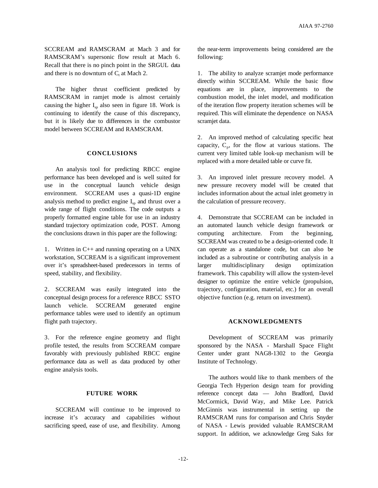SCCREAM and RAMSCRAM at Mach 3 and for RAMSCRAM's supersonic flow result at Mach 6. Recall that there is no pinch point in the SRGUL data and there is no downturn of  $C_t$  at Mach 2.

The higher thrust coefficient predicted by RAMSCRAM in ramjet mode is almost certainly causing the higher  $I_{\rm sn}$  also seen in figure 18. Work is continuing to identify the cause of this discrepancy, but it is likely due to differences in the combustor model between SCCREAM and RAMSCRAM.

## **CONCLUSIONS**

An analysis tool for predicting RBCC engine performance has been developed and is well suited for use in the conceptual launch vehicle design environment. SCCREAM uses a quasi-1D engine analysis method to predict engine  $I_{\rm{sn}}$  and thrust over a wide range of flight conditions. The code outputs a properly formatted engine table for use in an industry standard trajectory optimization code, POST. Among the conclusions drawn in this paper are the following:

1. Written in C++ and running operating on a UNIX workstation, SCCREAM is a significant improvement over it's spreadsheet-based predecessors in terms of speed, stability, and flexibility.

2. SCCREAM was easily integrated into the conceptual design process for a reference RBCC SSTO launch vehicle. SCCREAM generated engine performance tables were used to identify an optimum flight path trajectory.

3. For the reference engine geometry and flight profile tested, the results from SCCREAM compare favorably with previously published RBCC engine performance data as well as data produced by other engine analysis tools.

# **FUTURE WORK**

SCCREAM will continue to be improved to increase it's accuracy and capabilities without sacrificing speed, ease of use, and flexibility. Among

the near-term improvements being considered are the following:

1. The ability to analyze scramjet mode performance directly within SCCREAM. While the basic flow equations are in place, improvements to the combustion model, the inlet model, and modification of the iteration flow property iteration schemes will be required. This will eliminate the dependence on NASA scramjet data.

2. An improved method of calculating specific heat capacity,  $C_p$ , for the flow at various stations. The current very limited table look-up mechanism will be replaced with a more detailed table or curve fit.

3. An improved inlet pressure recovery model. A new pressure recovery model will be created that includes information about the actual inlet geometry in the calculation of pressure recovery.

4. Demonstrate that SCCREAM can be included in an automated launch vehicle design framework or computing architecture. From the beginning, SCCREAM was created to be a design-oriented code. It can operate as a standalone code, but can also be included as a subroutine or contributing analysis in a larger multidisciplinary design optimization framework. This capability will allow the system-level designer to optimize the entire vehicle (propulsion, trajectory, configuration, material, etc.) for an overall objective function (e.g. return on investment).

# **ACKNOWLEDGMENTS**

Development of SCCREAM was primarily sponsored by the NASA - Marshall Space Flight Center under grant NAG8-1302 to the Georgia Institute of Technology.

The authors would like to thank members of the Georgia Tech Hyperion design team for providing reference concept data — John Bradford, David McCormick, David Way, and Mike Lee. Patrick McGinnis was instrumental in setting up the RAMSCRAM runs for comparison and Chris Snyder of NASA - Lewis provided valuable RAMSCRAM support. In addition, we acknowledge Greg Saks for